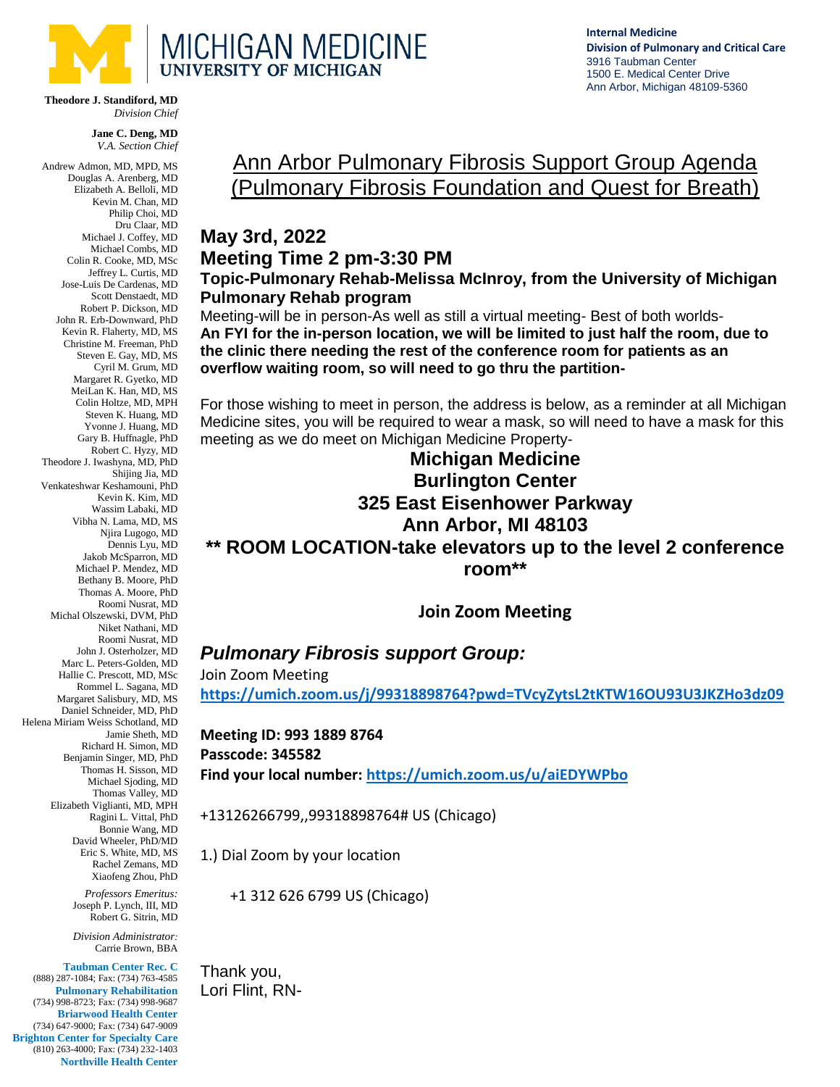

**Theodore J. Standiford, MD** *Division Chief*

> **Jane C. Deng, MD** *V.A. Section Chief*

Andrew Admon, MD, MPD, MS Douglas A. Arenberg, MD Elizabeth A. Belloli, MD Kevin M. Chan, MD Philip Choi, MD Dru Claar, MD Michael J. Coffey, MD Michael Combs, MD Colin R. Cooke, MD, MSc Jeffrey L. Curtis, MD Jose-Luis De Cardenas, MD Scott Denstaedt, MD Robert P. Dickson, MD John R. Erb-Downward, PhD Kevin R. Flaherty, MD, MS Christine M. Freeman, PhD Steven E. Gay, MD, MS Cyril M. Grum, MD Margaret R. Gyetko, MD MeiLan K. Han, MD, MS Colin Holtze, MD, MPH Steven K. Huang, MD Yvonne J. Huang, MD Gary B. Huffnagle, PhD Robert C. Hyzy, MD Theodore J. Iwashyna, MD, PhD Shijing Jia, MD Venkateshwar Keshamouni, PhD Kevin K. Kim, MD Wassim Labaki, MD Vibha N. Lama, MD, MS Njira Lugogo, MD Dennis Lyu, MD Jakob McSparron, MD Michael P. Mendez, MD Bethany B. Moore, PhD Thomas A. Moore, PhD Roomi Nusrat, MD Michal Olszewski, DVM, PhD Niket Nathani, MD Roomi Nusrat, MD John J. Osterholzer, MD Marc L. Peters-Golden, MD Hallie C. Prescott, MD, MSc Rommel L. Sagana, MD Margaret Salisbury, MD, MS Daniel Schneider, MD, PhD Helena Miriam Weiss Schotland, MD Jamie Sheth, MD Richard H. Simon, MD Benjamin Singer, MD, PhD Thomas H. Sisson, MD Michael Sjoding, MD Thomas Valley, MD Elizabeth Viglianti, MD, MPH Ragini L. Vittal, PhD Bonnie Wang, MD David Wheeler, PhD/MD Eric S. White, MD, MS Rachel Zemans, MD Xiaofeng Zhou, PhD *Professors Emeritus:* Joseph P. Lynch, III, MD Robert G. Sitrin, MD *Division Administrator:* Carrie Brown, BBA **Taubman Center Rec. C** (888) 287-1084; Fax: (734) 763-4585 **Pulmonary Rehabilitation** (734) 998-8723; Fax: (734) 998-9687 **Briarwood Health Center**

(734) 647-9000; Fax: (734) 647-9009 **Brighton Center for Specialty Care** (810) 263-4000; Fax: (734) 232-1403 **Northville Health Center**

## Ann Arbor Pulmonary Fibrosis Support Group Agenda (Pulmonary Fibrosis Foundation and Quest for Breath)

## **May 3rd, 2022 Meeting Time 2 pm-3:30 PM**

**Topic-Pulmonary Rehab-Melissa McInroy, from the University of Michigan Pulmonary Rehab program**

Meeting-will be in person-As well as still a virtual meeting- Best of both worlds-**An FYI for the in-person location, we will be limited to just half the room, due to the clinic there needing the rest of the conference room for patients as an overflow waiting room, so will need to go thru the partition-**

For those wishing to meet in person, the address is below, as a reminder at all Michigan Medicine sites, you will be required to wear a mask, so will need to have a mask for this meeting as we do meet on Michigan Medicine Property-

## **Michigan Medicine Burlington Center 325 East Eisenhower Parkway Ann Arbor, MI 48103 \*\* ROOM LOCATION-take elevators up to the level 2 conference**

**room\*\***

**Join Zoom Meeting** 

## *Pulmonary Fibrosis support Group:*

Join Zoom Meeting

**<https://umich.zoom.us/j/99318898764?pwd=TVcyZytsL2tKTW16OU93U3JKZHo3dz09>**

**Meeting ID: 993 1889 8764 Passcode: 345582 Find your local number:<https://umich.zoom.us/u/aiEDYWPbo>**

+13126266799,,99318898764# US (Chicago)

1.) Dial Zoom by your location

+1 312 626 6799 US (Chicago)

Thank you, Lori Flint, RN- **Internal Medicine Division of Pulmonary and Critical Care**  3916 Taubman Center 1500 E. Medical Center Drive Ann Arbor, Michigan 48109-5360